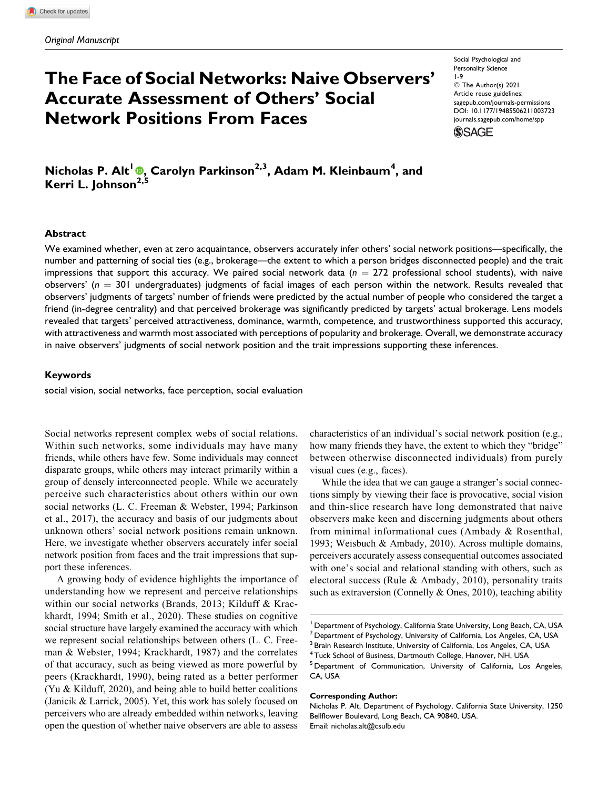# **The Face of Social Networks: Naive Observers' Accurate Assessment of Others' Social Network Positions From Faces**

Social Psychological and Personality Science 1-9 © The Author(s) 2021 Article reuse guidelines: [sagepub.com/journals-permissions](https://sagepub.com/journals-permissions) [DOI: 10.1177/19485506211003723](https://doi.org/10.1177/19485506211003723) [journals.sagepub.com/home/spp](http://journals.sagepub.com/home/spp)

**SSAGE** 

**Nicholas P. Alt<sup>1</sup> [,](https://orcid.org/0000-0001-6186-6463) Carolyn Parkinson2,3, Adam M. Kleinbaum4 , and Kerri L. Johnson2,5**

#### **Abstract**

We examined whether, even at zero acquaintance, observers accurately infer others' social network positions—specifically, the number and patterning of social ties (e.g., brokerage—the extent to which a person bridges disconnected people) and the trait impressions that support this accuracy. We paired social network data  $(n = 272)$  professional school students), with naive observers' ( $n = 301$  undergraduates) judgments of facial images of each person within the network. Results revealed that observers' judgments of targets' number of friends were predicted by the actual number of people who considered the target a friend (in-degree centrality) and that perceived brokerage was significantly predicted by targets' actual brokerage. Lens models revealed that targets' perceived attractiveness, dominance, warmth, competence, and trustworthiness supported this accuracy, with attractiveness and warmth most associated with perceptions of popularity and brokerage. Overall, we demonstrate accuracy in naive observers' judgments of social network position and the trait impressions supporting these inferences.

#### **Keywords**

social vision, social networks, face perception, social evaluation

Social networks represent complex webs of social relations. Within such networks, some individuals may have many friends, while others have few. Some individuals may connect disparate groups, while others may interact primarily within a group of densely interconnected people. While we accurately perceive such characteristics about others within our own social networks (L. C. Freeman & Webster, 1994; Parkinson et al., 2017), the accuracy and basis of our judgments about unknown others' social network positions remain unknown. Here, we investigate whether observers accurately infer social network position from faces and the trait impressions that support these inferences.

A growing body of evidence highlights the importance of understanding how we represent and perceive relationships within our social networks (Brands, 2013; Kilduff & Krackhardt, 1994; Smith et al., 2020). These studies on cognitive social structure have largely examined the accuracy with which we represent social relationships between others (L. C. Freeman & Webster, 1994; Krackhardt, 1987) and the correlates of that accuracy, such as being viewed as more powerful by peers (Krackhardt, 1990), being rated as a better performer (Yu & Kilduff, 2020), and being able to build better coalitions (Janicik & Larrick, 2005). Yet, this work has solely focused on perceivers who are already embedded within networks, leaving open the question of whether naive observers are able to assess

characteristics of an individual's social network position (e.g., how many friends they have, the extent to which they "bridge" between otherwise disconnected individuals) from purely visual cues (e.g., faces).

While the idea that we can gauge a stranger's social connections simply by viewing their face is provocative, social vision and thin-slice research have long demonstrated that naive observers make keen and discerning judgments about others from minimal informational cues (Ambady & Rosenthal, 1993; Weisbuch & Ambady, 2010). Across multiple domains, perceivers accurately assess consequential outcomes associated with one's social and relational standing with others, such as electoral success (Rule & Ambady, 2010), personality traits such as extraversion (Connelly & Ones, 2010), teaching ability

#### **Corresponding Author:**

Department of Psychology, California State University, Long Beach, CA, USA

 $2$  Department of Psychology, University of California, Los Angeles, CA, USA

<sup>&</sup>lt;sup>3</sup> Brain Research Institute, University of California, Los Angeles, CA, USA

<sup>4</sup> Tuck School of Business, Dartmouth College, Hanover, NH, USA

<sup>&</sup>lt;sup>5</sup> Department of Communication, University of California, Los Angeles, CA, USA

Nicholas P. Alt, Department of Psychology, California State University, 1250 Bellflower Boulevard, Long Beach, CA 90840, USA. Email: [nicholas.alt@csulb.edu](mailto:nicholas.alt@csulb.edu)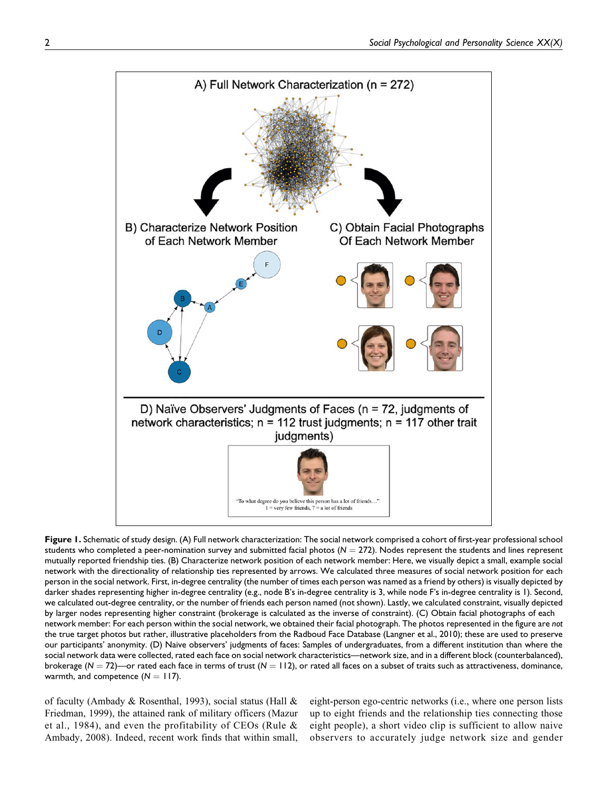

**Figure 1.** Schematic of study design. (A) Full network characterization: The social network comprised a cohort of first-year professional school students who completed a peer-nomination survey and submitted facial photos  $(N = 272)$ . Nodes represent the students and lines represent mutually reported friendship ties. (B) Characterize network position of each network member: Here, we visually depict a small, example social network with the directionality of relationship ties represented by arrows. We calculated three measures of social network position for each person in the social network. First, in-degree centrality (the number of times each person was named as a friend by others) is visually depicted by darker shades representing higher in-degree centrality (e.g., node B's in-degree centrality is 3, while node F's in-degree centrality is 1). Second, we calculated out-degree centrality, or the number of friends each person named (not shown). Lastly, we calculated constraint, visually depicted by larger nodes representing higher constraint (brokerage is calculated as the inverse of constraint). (C) Obtain facial photographs of each network member: For each person within the social network, we obtained their facial photograph. The photos represented in the figure are *not* the true target photos but rather, illustrative placeholders from the Radboud Face Database (Langner et al., 2010); these are used to preserve our participants' anonymity. (D) Naive observers' judgments of faces: Samples of undergraduates, from a different institution than where the social network data were collected, rated each face on social network characteristics—network size, and in a different block (counterbalanced), brokerage ( $N = 72$ )—or rated each face in terms of trust ( $N = 112$ ), or rated all faces on a subset of traits such as attractiveness, dominance, warmth, and competence  $(N = 117)$ .

of faculty (Ambady & Rosenthal, 1993), social status (Hall & Friedman, 1999), the attained rank of military officers (Mazur et al., 1984), and even the profitability of CEOs (Rule & Ambady, 2008). Indeed, recent work finds that within small, eight-person ego-centric networks (i.e., where one person lists up to eight friends and the relationship ties connecting those eight people), a short video clip is sufficient to allow naive observers to accurately judge network size and gender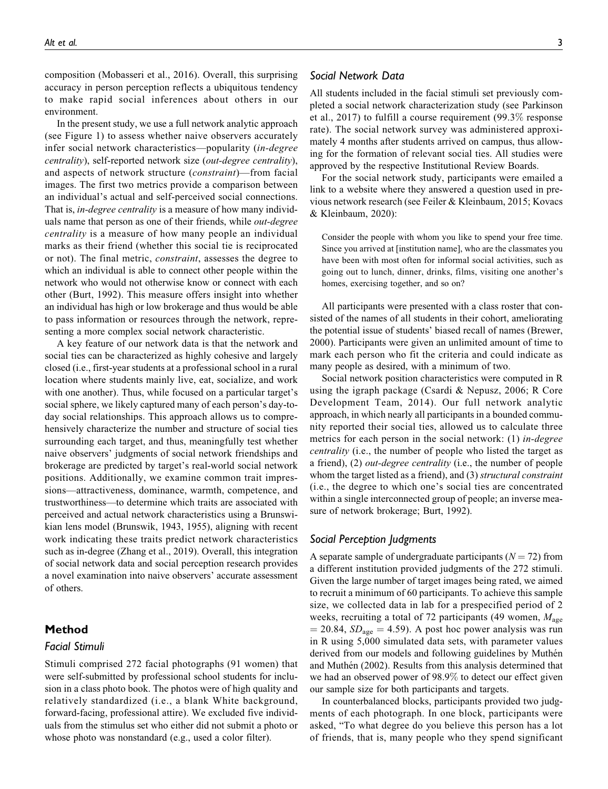composition (Mobasseri et al., 2016). Overall, this surprising accuracy in person perception reflects a ubiquitous tendency to make rapid social inferences about others in our environment.

In the present study, we use a full network analytic approach (see Figure 1) to assess whether naive observers accurately infer social network characteristics—popularity (in-degree centrality), self-reported network size (out-degree centrality), and aspects of network structure (constraint)—from facial images. The first two metrics provide a comparison between an individual's actual and self-perceived social connections. That is, *in-degree centrality* is a measure of how many individuals name that person as one of their friends, while out-degree centrality is a measure of how many people an individual marks as their friend (whether this social tie is reciprocated or not). The final metric, constraint, assesses the degree to which an individual is able to connect other people within the network who would not otherwise know or connect with each other (Burt, 1992). This measure offers insight into whether an individual has high or low brokerage and thus would be able to pass information or resources through the network, representing a more complex social network characteristic.

A key feature of our network data is that the network and social ties can be characterized as highly cohesive and largely closed (i.e., first-year students at a professional school in a rural location where students mainly live, eat, socialize, and work with one another). Thus, while focused on a particular target's social sphere, we likely captured many of each person's day-today social relationships. This approach allows us to comprehensively characterize the number and structure of social ties surrounding each target, and thus, meaningfully test whether naive observers' judgments of social network friendships and brokerage are predicted by target's real-world social network positions. Additionally, we examine common trait impressions—attractiveness, dominance, warmth, competence, and trustworthiness—to determine which traits are associated with perceived and actual network characteristics using a Brunswikian lens model (Brunswik, 1943, 1955), aligning with recent work indicating these traits predict network characteristics such as in-degree (Zhang et al., 2019). Overall, this integration of social network data and social perception research provides a novel examination into naive observers' accurate assessment of others.

### **Method**

### *Facial Stimuli*

Stimuli comprised 272 facial photographs (91 women) that were self-submitted by professional school students for inclusion in a class photo book. The photos were of high quality and relatively standardized (i.e., a blank White background, forward-facing, professional attire). We excluded five individuals from the stimulus set who either did not submit a photo or whose photo was nonstandard (e.g., used a color filter).

### *Social Network Data*

All students included in the facial stimuli set previously completed a social network characterization study (see Parkinson et al., 2017) to fulfill a course requirement (99.3% response rate). The social network survey was administered approximately 4 months after students arrived on campus, thus allowing for the formation of relevant social ties. All studies were approved by the respective Institutional Review Boards.

For the social network study, participants were emailed a link to a website where they answered a question used in previous network research (see Feiler & Kleinbaum, 2015; Kovacs & Kleinbaum, 2020):

Consider the people with whom you like to spend your free time. Since you arrived at [institution name], who are the classmates you have been with most often for informal social activities, such as going out to lunch, dinner, drinks, films, visiting one another's homes, exercising together, and so on?

All participants were presented with a class roster that consisted of the names of all students in their cohort, ameliorating the potential issue of students' biased recall of names (Brewer, 2000). Participants were given an unlimited amount of time to mark each person who fit the criteria and could indicate as many people as desired, with a minimum of two.

Social network position characteristics were computed in R using the igraph package (Csardi & Nepusz, 2006; R Core Development Team, 2014). Our full network analytic approach, in which nearly all participants in a bounded community reported their social ties, allowed us to calculate three metrics for each person in the social network: (1) in-degree centrality (i.e., the number of people who listed the target as a friend), (2) out-degree centrality (i.e., the number of people whom the target listed as a friend), and (3) *structural constraint* (i.e., the degree to which one's social ties are concentrated within a single interconnected group of people; an inverse measure of network brokerage; Burt, 1992).

#### *Social Perception Judgments*

A separate sample of undergraduate participants  $(N = 72)$  from a different institution provided judgments of the 272 stimuli. Given the large number of target images being rated, we aimed to recruit a minimum of 60 participants. To achieve this sample size, we collected data in lab for a prespecified period of 2 weeks, recruiting a total of 72 participants (49 women,  $M_{\text{age}}$ )  $= 20.84$ ,  $SD<sub>age</sub> = 4.59$ . A post hoc power analysis was run in R using 5,000 simulated data sets, with parameter values derived from our models and following guidelines by Muthén and Muthén (2002). Results from this analysis determined that we had an observed power of 98.9% to detect our effect given our sample size for both participants and targets.

In counterbalanced blocks, participants provided two judgments of each photograph. In one block, participants were asked, "To what degree do you believe this person has a lot of friends, that is, many people who they spend significant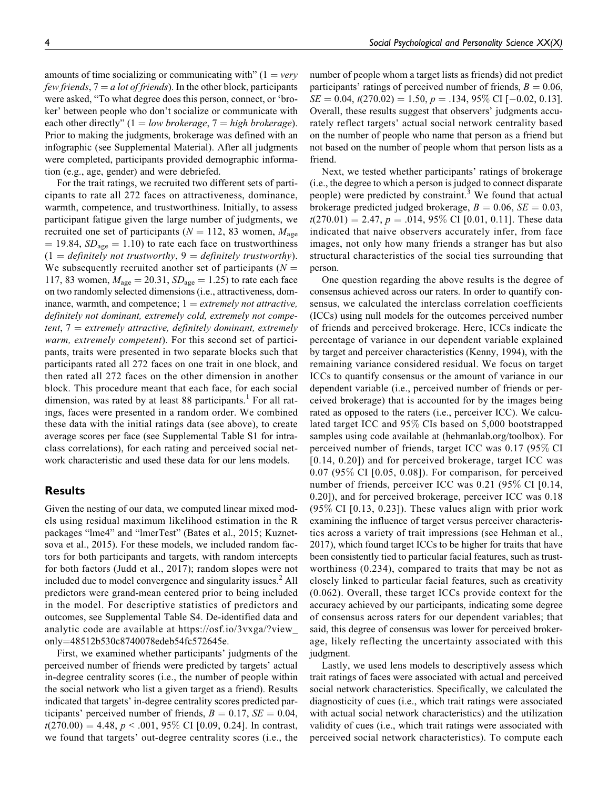amounts of time socializing or communicating with"  $(1 = \text{very})$ few friends,  $7 = a$  lot of friends). In the other block, participants were asked, "To what degree does this person, connect, or 'broker' between people who don't socialize or communicate with each other directly"  $(1 = low \, broken \, age, \, 7 = high \, broken \, age).$ Prior to making the judgments, brokerage was defined with an infographic (see Supplemental Material). After all judgments were completed, participants provided demographic information (e.g., age, gender) and were debriefed.

For the trait ratings, we recruited two different sets of participants to rate all 272 faces on attractiveness, dominance, warmth, competence, and trustworthiness. Initially, to assess participant fatigue given the large number of judgments, we recruited one set of participants ( $N = 112, 83$  women,  $M_{\text{age}}$  $= 19.84$ ,  $SD<sub>age</sub> = 1.10$ ) to rate each face on trustworthiness  $(1 = \text{definitely not trustworthy}, 9 = \text{definitely network}).$ We subsequently recruited another set of participants  $(N =$ 117, 83 women,  $M_{\text{age}} = 20.31$ ,  $SD_{\text{age}} = 1.25$ ) to rate each face on two randomly selected dimensions (i.e., attractiveness, dominance, warmth, and competence;  $1 =$  *extremely not attractive*, definitely not dominant, extremely cold, extremely not competent,  $7 =$  extremely attractive, definitely dominant, extremely warm, extremely competent). For this second set of participants, traits were presented in two separate blocks such that participants rated all 272 faces on one trait in one block, and then rated all 272 faces on the other dimension in another block. This procedure meant that each face, for each social dimension, was rated by at least 88 participants.<sup>1</sup> For all ratings, faces were presented in a random order. We combined these data with the initial ratings data (see above), to create average scores per face (see Supplemental Table S1 for intraclass correlations), for each rating and perceived social network characteristic and used these data for our lens models.

### **Results**

Given the nesting of our data, we computed linear mixed models using residual maximum likelihood estimation in the R packages "lme4" and "lmerTest" (Bates et al., 2015; Kuznetsova et al., 2015). For these models, we included random factors for both participants and targets, with random intercepts for both factors (Judd et al., 2017); random slopes were not included due to model convergence and singularity issues.<sup>2</sup> All predictors were grand-mean centered prior to being included in the model. For descriptive statistics of predictors and outcomes, see Supplemental Table S4. De-identified data and analytic code are available at [https://osf.io/3vxga/?view\\_](https://osf.io/3vxga/?view_only=48512b530c8740078edeb54fc572645e) [only](https://osf.io/3vxga/?view_only=48512b530c8740078edeb54fc572645e)=[48512b530c8740078edeb54fc572645e](https://osf.io/3vxga/?view_only=48512b530c8740078edeb54fc572645e).

First, we examined whether participants' judgments of the perceived number of friends were predicted by targets' actual in-degree centrality scores (i.e., the number of people within the social network who list a given target as a friend). Results indicated that targets' in-degree centrality scores predicted participants' perceived number of friends,  $B = 0.17$ ,  $SE = 0.04$ ,  $t(270.00) = 4.48$ ,  $p < .001$ , 95% CI [0.09, 0.24]. In contrast, we found that targets' out-degree centrality scores (i.e., the

number of people whom a target lists as friends) did not predict participants' ratings of perceived number of friends,  $B = 0.06$ ,  $SE = 0.04$ ,  $t(270.02) = 1.50$ ,  $p = .134$ ,  $95\%$  CI [-0.02, 0.13]. Overall, these results suggest that observers' judgments accurately reflect targets' actual social network centrality based on the number of people who name that person as a friend but not based on the number of people whom that person lists as a friend.

Next, we tested whether participants' ratings of brokerage (i.e., the degree to which a person is judged to connect disparate people) were predicted by constraint.<sup>3</sup> We found that actual brokerage predicted judged brokerage,  $B = 0.06$ ,  $SE = 0.03$ ,  $t(270.01) = 2.47, p = .014, 95\% \text{ CI}$  [0.01, 0.11]. These data indicated that naive observers accurately infer, from face images, not only how many friends a stranger has but also structural characteristics of the social ties surrounding that person.

One question regarding the above results is the degree of consensus achieved across our raters. In order to quantify consensus, we calculated the interclass correlation coefficients (ICCs) using null models for the outcomes perceived number of friends and perceived brokerage. Here, ICCs indicate the percentage of variance in our dependent variable explained by target and perceiver characteristics (Kenny, 1994), with the remaining variance considered residual. We focus on target ICCs to quantify consensus or the amount of variance in our dependent variable (i.e., perceived number of friends or perceived brokerage) that is accounted for by the images being rated as opposed to the raters (i.e., perceiver ICC). We calculated target ICC and 95% CIs based on 5,000 bootstrapped samples using code available at (hehmanlab.org/toolbox). For perceived number of friends, target ICC was 0.17 (95% CI [0.14, 0.20]) and for perceived brokerage, target ICC was 0.07 (95% CI [0.05, 0.08]). For comparison, for perceived number of friends, perceiver ICC was 0.21 (95% CI [0.14, 0.20]), and for perceived brokerage, perceiver ICC was 0.18  $(95\% \text{ CI} [0.13, 0.23])$ . These values align with prior work examining the influence of target versus perceiver characteristics across a variety of trait impressions (see Hehman et al., 2017), which found target ICCs to be higher for traits that have been consistently tied to particular facial features, such as trustworthiness (0.234), compared to traits that may be not as closely linked to particular facial features, such as creativity (0.062). Overall, these target ICCs provide context for the accuracy achieved by our participants, indicating some degree of consensus across raters for our dependent variables; that said, this degree of consensus was lower for perceived brokerage, likely reflecting the uncertainty associated with this judgment.

Lastly, we used lens models to descriptively assess which trait ratings of faces were associated with actual and perceived social network characteristics. Specifically, we calculated the diagnosticity of cues (i.e., which trait ratings were associated with actual social network characteristics) and the utilization validity of cues (i.e., which trait ratings were associated with perceived social network characteristics). To compute each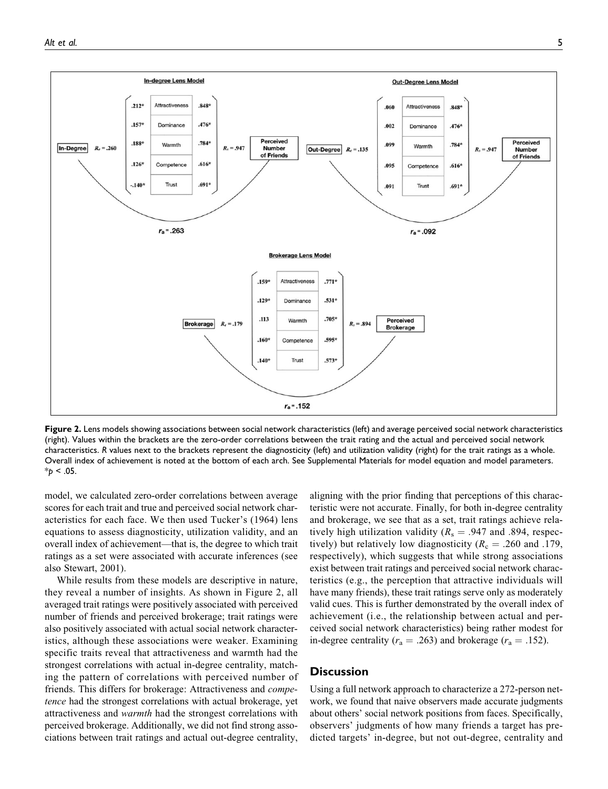

**Figure 2.** Lens models showing associations between social network characteristics (left) and average perceived social network characteristics (right). Values within the brackets are the zero-order correlations between the trait rating and the actual and perceived social network characteristics. *R* values next to the brackets represent the diagnosticity (left) and utilization validity (right) for the trait ratings as a whole. Overall index of achievement is noted at the bottom of each arch. See Supplemental Materials for model equation and model parameters.  $*_{p}$  < .05.

model, we calculated zero-order correlations between average scores for each trait and true and perceived social network characteristics for each face. We then used Tucker's (1964) lens equations to assess diagnosticity, utilization validity, and an overall index of achievement—that is, the degree to which trait ratings as a set were associated with accurate inferences (see also Stewart, 2001).

While results from these models are descriptive in nature, they reveal a number of insights. As shown in Figure 2, all averaged trait ratings were positively associated with perceived number of friends and perceived brokerage; trait ratings were also positively associated with actual social network characteristics, although these associations were weaker. Examining specific traits reveal that attractiveness and warmth had the strongest correlations with actual in-degree centrality, matching the pattern of correlations with perceived number of friends. This differs for brokerage: Attractiveness and competence had the strongest correlations with actual brokerage, yet attractiveness and warmth had the strongest correlations with perceived brokerage. Additionally, we did not find strong associations between trait ratings and actual out-degree centrality,

aligning with the prior finding that perceptions of this characteristic were not accurate. Finally, for both in-degree centrality and brokerage, we see that as a set, trait ratings achieve relatively high utilization validity ( $R_s = .947$  and .894, respectively) but relatively low diagnosticity ( $R_c = .260$  and .179, respectively), which suggests that while strong associations exist between trait ratings and perceived social network characteristics (e.g., the perception that attractive individuals will have many friends), these trait ratings serve only as moderately valid cues. This is further demonstrated by the overall index of achievement (i.e., the relationship between actual and perceived social network characteristics) being rather modest for in-degree centrality ( $r_a = .263$ ) and brokerage ( $r_a = .152$ ).

### **Discussion**

Using a full network approach to characterize a 272-person network, we found that naive observers made accurate judgments about others' social network positions from faces. Specifically, observers' judgments of how many friends a target has predicted targets' in-degree, but not out-degree, centrality and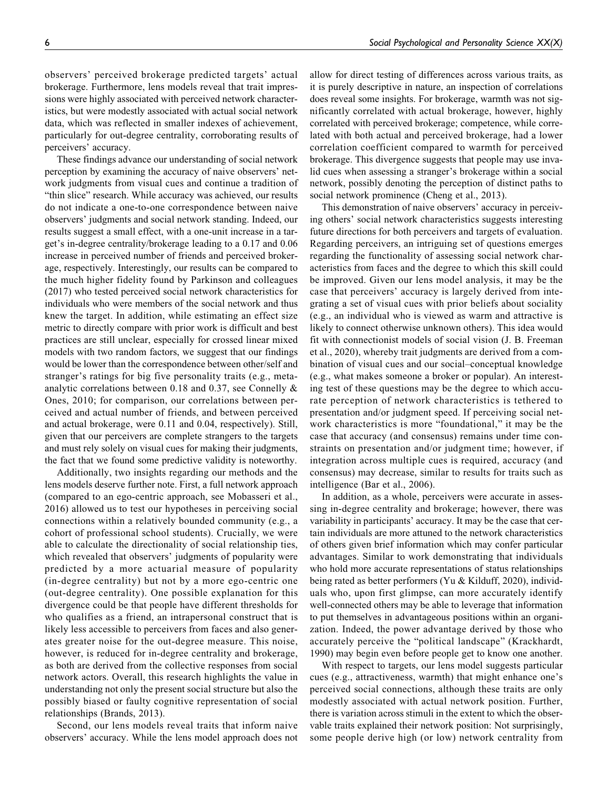observers' perceived brokerage predicted targets' actual brokerage. Furthermore, lens models reveal that trait impressions were highly associated with perceived network characteristics, but were modestly associated with actual social network data, which was reflected in smaller indexes of achievement, particularly for out-degree centrality, corroborating results of perceivers' accuracy.

These findings advance our understanding of social network perception by examining the accuracy of naive observers' network judgments from visual cues and continue a tradition of "thin slice" research. While accuracy was achieved, our results do not indicate a one-to-one correspondence between naive observers' judgments and social network standing. Indeed, our results suggest a small effect, with a one-unit increase in a target's in-degree centrality/brokerage leading to a 0.17 and 0.06 increase in perceived number of friends and perceived brokerage, respectively. Interestingly, our results can be compared to the much higher fidelity found by Parkinson and colleagues (2017) who tested perceived social network characteristics for individuals who were members of the social network and thus knew the target. In addition, while estimating an effect size metric to directly compare with prior work is difficult and best practices are still unclear, especially for crossed linear mixed models with two random factors, we suggest that our findings would be lower than the correspondence between other/self and stranger's ratings for big five personality traits (e.g., metaanalytic correlations between 0.18 and 0.37, see Connelly & Ones, 2010; for comparison, our correlations between perceived and actual number of friends, and between perceived and actual brokerage, were 0.11 and 0.04, respectively). Still, given that our perceivers are complete strangers to the targets and must rely solely on visual cues for making their judgments, the fact that we found some predictive validity is noteworthy.

Additionally, two insights regarding our methods and the lens models deserve further note. First, a full network approach (compared to an ego-centric approach, see Mobasseri et al., 2016) allowed us to test our hypotheses in perceiving social connections within a relatively bounded community (e.g., a cohort of professional school students). Crucially, we were able to calculate the directionality of social relationship ties, which revealed that observers' judgments of popularity were predicted by a more actuarial measure of popularity (in-degree centrality) but not by a more ego-centric one (out-degree centrality). One possible explanation for this divergence could be that people have different thresholds for who qualifies as a friend, an intrapersonal construct that is likely less accessible to perceivers from faces and also generates greater noise for the out-degree measure. This noise, however, is reduced for in-degree centrality and brokerage, as both are derived from the collective responses from social network actors. Overall, this research highlights the value in understanding not only the present social structure but also the possibly biased or faulty cognitive representation of social relationships (Brands, 2013).

Second, our lens models reveal traits that inform naive observers' accuracy. While the lens model approach does not allow for direct testing of differences across various traits, as it is purely descriptive in nature, an inspection of correlations does reveal some insights. For brokerage, warmth was not significantly correlated with actual brokerage, however, highly correlated with perceived brokerage; competence, while correlated with both actual and perceived brokerage, had a lower correlation coefficient compared to warmth for perceived brokerage. This divergence suggests that people may use invalid cues when assessing a stranger's brokerage within a social network, possibly denoting the perception of distinct paths to social network prominence (Cheng et al., 2013).

This demonstration of naive observers' accuracy in perceiving others' social network characteristics suggests interesting future directions for both perceivers and targets of evaluation. Regarding perceivers, an intriguing set of questions emerges regarding the functionality of assessing social network characteristics from faces and the degree to which this skill could be improved. Given our lens model analysis, it may be the case that perceivers' accuracy is largely derived from integrating a set of visual cues with prior beliefs about sociality (e.g., an individual who is viewed as warm and attractive is likely to connect otherwise unknown others). This idea would fit with connectionist models of social vision (J. B. Freeman et al., 2020), whereby trait judgments are derived from a combination of visual cues and our social–conceptual knowledge (e.g., what makes someone a broker or popular). An interesting test of these questions may be the degree to which accurate perception of network characteristics is tethered to presentation and/or judgment speed. If perceiving social network characteristics is more "foundational," it may be the case that accuracy (and consensus) remains under time constraints on presentation and/or judgment time; however, if integration across multiple cues is required, accuracy (and consensus) may decrease, similar to results for traits such as intelligence (Bar et al., 2006).

In addition, as a whole, perceivers were accurate in assessing in-degree centrality and brokerage; however, there was variability in participants' accuracy. It may be the case that certain individuals are more attuned to the network characteristics of others given brief information which may confer particular advantages. Similar to work demonstrating that individuals who hold more accurate representations of status relationships being rated as better performers (Yu & Kilduff, 2020), individuals who, upon first glimpse, can more accurately identify well-connected others may be able to leverage that information to put themselves in advantageous positions within an organization. Indeed, the power advantage derived by those who accurately perceive the "political landscape" (Krackhardt, 1990) may begin even before people get to know one another.

With respect to targets, our lens model suggests particular cues (e.g., attractiveness, warmth) that might enhance one's perceived social connections, although these traits are only modestly associated with actual network position. Further, there is variation across stimuli in the extent to which the observable traits explained their network position: Not surprisingly, some people derive high (or low) network centrality from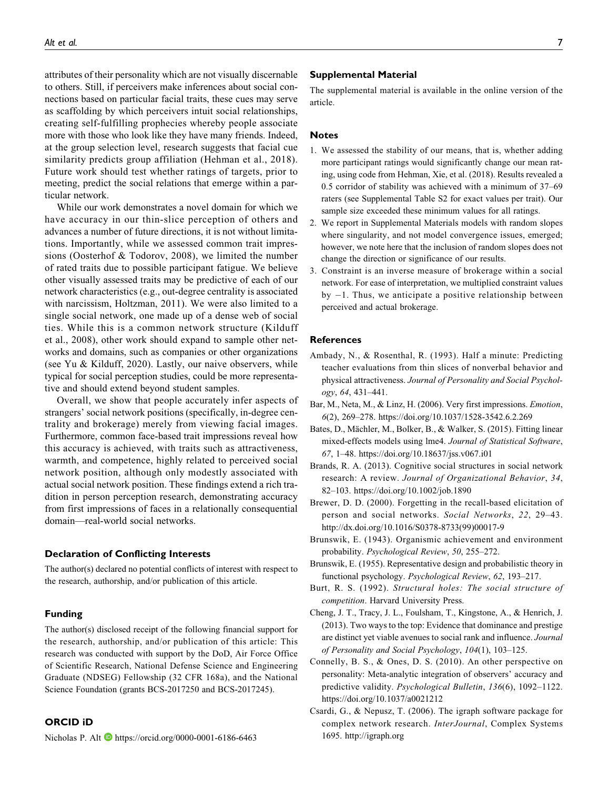attributes of their personality which are not visually discernable to others. Still, if perceivers make inferences about social connections based on particular facial traits, these cues may serve as scaffolding by which perceivers intuit social relationships, creating self-fulfilling prophecies whereby people associate more with those who look like they have many friends. Indeed, at the group selection level, research suggests that facial cue similarity predicts group affiliation (Hehman et al., 2018). Future work should test whether ratings of targets, prior to meeting, predict the social relations that emerge within a particular network.

While our work demonstrates a novel domain for which we have accuracy in our thin-slice perception of others and advances a number of future directions, it is not without limitations. Importantly, while we assessed common trait impressions (Oosterhof & Todorov, 2008), we limited the number of rated traits due to possible participant fatigue. We believe other visually assessed traits may be predictive of each of our network characteristics (e.g., out-degree centrality is associated with narcissism, Holtzman, 2011). We were also limited to a single social network, one made up of a dense web of social ties. While this is a common network structure (Kilduff et al., 2008), other work should expand to sample other networks and domains, such as companies or other organizations (see Yu & Kilduff, 2020). Lastly, our naive observers, while typical for social perception studies, could be more representative and should extend beyond student samples.

Overall, we show that people accurately infer aspects of strangers' social network positions (specifically, in-degree centrality and brokerage) merely from viewing facial images. Furthermore, common face-based trait impressions reveal how this accuracy is achieved, with traits such as attractiveness, warmth, and competence, highly related to perceived social network position, although only modestly associated with actual social network position. These findings extend a rich tradition in person perception research, demonstrating accuracy from first impressions of faces in a relationally consequential domain—real-world social networks.

#### **Declaration of Conflicting Interests**

The author(s) declared no potential conflicts of interest with respect to the research, authorship, and/or publication of this article.

### **Funding**

The author(s) disclosed receipt of the following financial support for the research, authorship, and/or publication of this article: This research was conducted with support by the DoD, Air Force Office of Scientific Research, National Defense Science and Engineering Graduate (NDSEG) Fellowship (32 CFR 168a), and the National Science Foundation (grants BCS-2017250 and BCS-2017245).

### **ORCID iD**

Nicholas P. Alt  $\blacksquare$  <https://orcid.org/0000-0001-6186-6463>

#### **Supplemental Material**

The supplemental material is available in the online version of the article.

#### **Notes**

- 1. We assessed the stability of our means, that is, whether adding more participant ratings would significantly change our mean rating, using code from Hehman, Xie, et al. (2018). Results revealed a 0.5 corridor of stability was achieved with a minimum of 37–69 raters (see Supplemental Table S2 for exact values per trait). Our sample size exceeded these minimum values for all ratings.
- 2. We report in Supplemental Materials models with random slopes where singularity, and not model convergence issues, emerged; however, we note here that the inclusion of random slopes does not change the direction or significance of our results.
- 3. Constraint is an inverse measure of brokerage within a social network. For ease of interpretation, we multiplied constraint values by -1. Thus, we anticipate a positive relationship between perceived and actual brokerage.

#### **References**

- Ambady, N., & Rosenthal, R. (1993). Half a minute: Predicting teacher evaluations from thin slices of nonverbal behavior and physical attractiveness. Journal of Personality and Social Psychology, 64, 431–441.
- Bar, M., Neta, M., & Linz, H. (2006). Very first impressions. Emotion, 6(2), 269–278.<https://doi.org/10.1037/1528-3542.6.2.269>
- Bates, D., Mächler, M., Bolker, B., & Walker, S. (2015). Fitting linear mixed-effects models using lme4. Journal of Statistical Software, 67, 1–48.<https://doi.org/10.18637/jss.v067.i01>
- Brands, R. A. (2013). Cognitive social structures in social network research: A review. Journal of Organizational Behavior, 34, 82–103.<https://doi.org/10.1002/job.1890>
- Brewer, D. D. (2000). Forgetting in the recall-based elicitation of person and social networks. Social Networks, 22, 29-43. [http://dx.doi.org/10.1016/S0378-8733\(99\)00017-9](http://dx.doi.org/10.1016/S0378-8733(99)00017-9)
- Brunswik, E. (1943). Organismic achievement and environment probability. Psychological Review, 50, 255–272.
- Brunswik, E. (1955). Representative design and probabilistic theory in functional psychology. Psychological Review, 62, 193–217.
- Burt, R. S. (1992). Structural holes: The social structure of competition. Harvard University Press.
- Cheng, J. T., Tracy, J. L., Foulsham, T., Kingstone, A., & Henrich, J. (2013). Two ways to the top: Evidence that dominance and prestige are distinct yet viable avenues to social rank and influence. Journal of Personality and Social Psychology, 104(1), 103–125.
- Connelly, B. S., & Ones, D. S. (2010). An other perspective on personality: Meta-analytic integration of observers' accuracy and predictive validity. Psychological Bulletin, 136(6), 1092–1122. <https://doi.org/10.1037/a0021212>
- Csardi, G., & Nepusz, T. (2006). The igraph software package for complex network research. InterJournal, Complex Systems 1695.<http://igraph.org>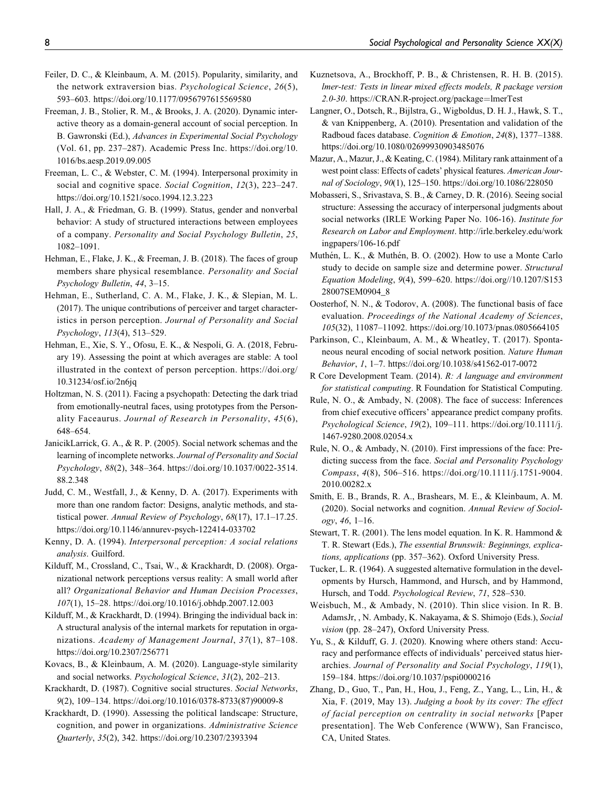- Feiler, D. C., & Kleinbaum, A. M. (2015). Popularity, similarity, and the network extraversion bias. Psychological Science, 26(5), 593–603.<https://doi.org/10.1177/0956797615569580>
- Freeman, J. B., Stolier, R. M., & Brooks, J. A. (2020). Dynamic interactive theory as a domain-general account of social perception. In B. Gawronski (Ed.), Advances in Experimental Social Psychology (Vol. 61, pp. 237–287). Academic Press Inc. [https://doi.org/10.](https://doi.org/10.1016/bs.aesp.2019.09.005) [1016/bs.aesp.2019.09.005](https://doi.org/10.1016/bs.aesp.2019.09.005)
- Freeman, L. C., & Webster, C. M. (1994). Interpersonal proximity in social and cognitive space. Social Cognition, 12(3), 223-247. <https://doi.org/10.1521/soco.1994.12.3.223>
- Hall, J. A., & Friedman, G. B. (1999). Status, gender and nonverbal behavior: A study of structured interactions between employees of a company. Personality and Social Psychology Bulletin, 25, 1082–1091.
- Hehman, E., Flake, J. K., & Freeman, J. B. (2018). The faces of group members share physical resemblance. Personality and Social Psychology Bulletin, 44, 3–15.
- Hehman, E., Sutherland, C. A. M., Flake, J. K., & Slepian, M. L. (2017). The unique contributions of perceiver and target characteristics in person perception. Journal of Personality and Social Psychology, 113(4), 513–529.
- Hehman, E., Xie, S. Y., Ofosu, E. K., & Nespoli, G. A. (2018, February 19). Assessing the point at which averages are stable: A tool illustrated in the context of person perception. [https://doi.org/](https://doi.org/10.31234/osf.io/2n6jq) [10.31234/osf.io/2n6jq](https://doi.org/10.31234/osf.io/2n6jq)
- Holtzman, N. S. (2011). Facing a psychopath: Detecting the dark triad from emotionally-neutral faces, using prototypes from the Personality Faceaurus. Journal of Research in Personality, 45(6), 648–654.
- JanicikLarrick, G. A., & R. P. (2005). Social network schemas and the learning of incomplete networks. Journal of Personality and Social Psychology, 88(2), 348–364. [https://doi.org/10.1037/0022-3514.](https://doi.org/10.1037/0022-3514.88.2.348) [88.2.348](https://doi.org/10.1037/0022-3514.88.2.348)
- Judd, C. M., Westfall, J., & Kenny, D. A. (2017). Experiments with more than one random factor: Designs, analytic methods, and statistical power. Annual Review of Psychology, 68(17), 17.1–17.25. <https://doi.org/10.1146/annurev-psych-122414-033702>
- Kenny, D. A. (1994). Interpersonal perception: A social relations analysis. Guilford.
- Kilduff, M., Crossland, C., Tsai, W., & Krackhardt, D. (2008). Organizational network perceptions versus reality: A small world after all? Organizational Behavior and Human Decision Processes, 107(1), 15–28.<https://doi.org/10.1016/j.obhdp.2007.12.003>
- Kilduff, M., & Krackhardt, D. (1994). Bringing the individual back in: A structural analysis of the internal markets for reputation in organizations. Academy of Management Journal, 37(1), 87–108. <https://doi.org/10.2307/256771>
- Kovacs, B., & Kleinbaum, A. M. (2020). Language-style similarity and social networks. Psychological Science, 31(2), 202–213.
- Krackhardt, D. (1987). Cognitive social structures. Social Networks, 9(2), 109–134. [https://doi.org/10.1016/0378-8733\(87\)90009-8](https://doi.org/10.1016/0378-8733(87)90009-8)
- Krackhardt, D. (1990). Assessing the political landscape: Structure, cognition, and power in organizations. Administrative Science Quarterly, 35(2), 342.<https://doi.org/10.2307/2393394>
- Kuznetsova, A., Brockhoff, P. B., & Christensen, R. H. B. (2015). lmer-test: Tests in linear mixed effects models, R package version 2.0-30. [https://CRAN.R-project.org/package](https://CRAN.R-project.org/package=lmerTest)=[lmerTest](https://CRAN.R-project.org/package=lmerTest)
- Langner, O., Dotsch, R., Bijlstra, G., Wigboldus, D. H. J., Hawk, S. T., & van Knippenberg, A. (2010). Presentation and validation of the Radboud faces database. Cognition & Emotion, 24(8), 1377–1388. <https://doi.org/10.1080/02699930903485076>
- Mazur, A., Mazur, J., & Keating, C. (1984). Military rank attainment of a west point class: Effects of cadets' physical features. American Journal of Sociology, 90(1), 125–150.<https://doi.org/10.1086/228050>
- Mobasseri, S., Srivastava, S. B., & Carney, D. R. (2016). Seeing social structure: Assessing the accuracy of interpersonal judgments about social networks (IRLE Working Paper No. 106-16). Institute for Research on Labor and Employment. [http://irle.berkeley.edu/work](http://irle.berkeley.edu/workingpapers/106-16.pdf) [ingpapers/106-16.pdf](http://irle.berkeley.edu/workingpapers/106-16.pdf)
- Muthén, L. K., & Muthén, B. O. (2002). How to use a Monte Carlo study to decide on sample size and determine power. Structural Equation Modeling, 9(4), 599–620. [https://doi.org//10.1207/S153](https://doi.org//10.1207/S15328007SEM0904_8) [28007SEM0904\\_8](https://doi.org//10.1207/S15328007SEM0904_8)
- Oosterhof, N. N., & Todorov, A. (2008). The functional basis of face evaluation. Proceedings of the National Academy of Sciences, 105(32), 11087–11092.<https://doi.org/10.1073/pnas.0805664105>
- Parkinson, C., Kleinbaum, A. M., & Wheatley, T. (2017). Spontaneous neural encoding of social network position. Nature Human Behavior, 1, 1–7.<https://doi.org/10.1038/s41562-017-0072>
- R Core Development Team. (2014). R: A language and environment for statistical computing. R Foundation for Statistical Computing.
- Rule, N. O., & Ambady, N. (2008). The face of success: Inferences from chief executive officers' appearance predict company profits. Psychological Science, 19(2), 109–111. [https://doi.org/10.1111/j.](https://doi.org/10.1111/j.1467-9280.2008.02054.x) [1467-9280.2008.02054.x](https://doi.org/10.1111/j.1467-9280.2008.02054.x)
- Rule, N. O., & Ambady, N. (2010). First impressions of the face: Predicting success from the face. Social and Personality Psychology Compass, 4(8), 506–516. [https://doi.org/10.1111/j.1751-9004.](https://doi.org/10.1111/j.1751-9004.2010.00282.x) [2010.00282.x](https://doi.org/10.1111/j.1751-9004.2010.00282.x)
- Smith, E. B., Brands, R. A., Brashears, M. E., & Kleinbaum, A. M. (2020). Social networks and cognition. Annual Review of Sociology, 46, 1–16.
- Stewart, T. R. (2001). The lens model equation. In K. R. Hammond & T. R. Stewart (Eds.), The essential Brunswik: Beginnings, explications, applications (pp. 357–362). Oxford University Press.
- Tucker, L. R. (1964). A suggested alternative formulation in the developments by Hursch, Hammond, and Hursch, and by Hammond, Hursch, and Todd. Psychological Review, 71, 528–530.
- Weisbuch, M., & Ambady, N. (2010). Thin slice vision. In R. B. AdamsJr, , N. Ambady, K. Nakayama, & S. Shimojo (Eds.), Social vision (pp. 28–247), Oxford University Press.
- Yu, S., & Kilduff, G. J. (2020). Knowing where others stand: Accuracy and performance effects of individuals' perceived status hierarchies. Journal of Personality and Social Psychology, 119(1), 159–184.<https://doi.org/10.1037/pspi0000216>
- Zhang, D., Guo, T., Pan, H., Hou, J., Feng, Z., Yang, L., Lin, H., & Xia, F. (2019, May 13). Judging a book by its cover: The effect of facial perception on centrality in social networks [Paper presentation]. The Web Conference (WWW), San Francisco, CA, United States.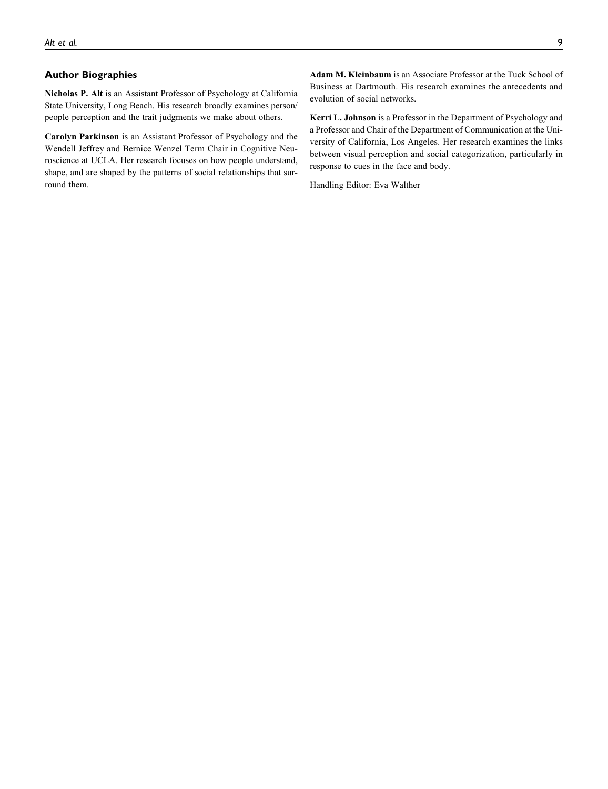### **Author Biographies**

Nicholas P. Alt is an Assistant Professor of Psychology at California State University, Long Beach. His research broadly examines person/ people perception and the trait judgments we make about others.

Carolyn Parkinson is an Assistant Professor of Psychology and the Wendell Jeffrey and Bernice Wenzel Term Chair in Cognitive Neuroscience at UCLA. Her research focuses on how people understand, shape, and are shaped by the patterns of social relationships that surround them.

Adam M. Kleinbaum is an Associate Professor at the Tuck School of Business at Dartmouth. His research examines the antecedents and evolution of social networks.

Kerri L. Johnson is a Professor in the Department of Psychology and a Professor and Chair of the Department of Communication at the University of California, Los Angeles. Her research examines the links between visual perception and social categorization, particularly in response to cues in the face and body.

Handling Editor: Eva Walther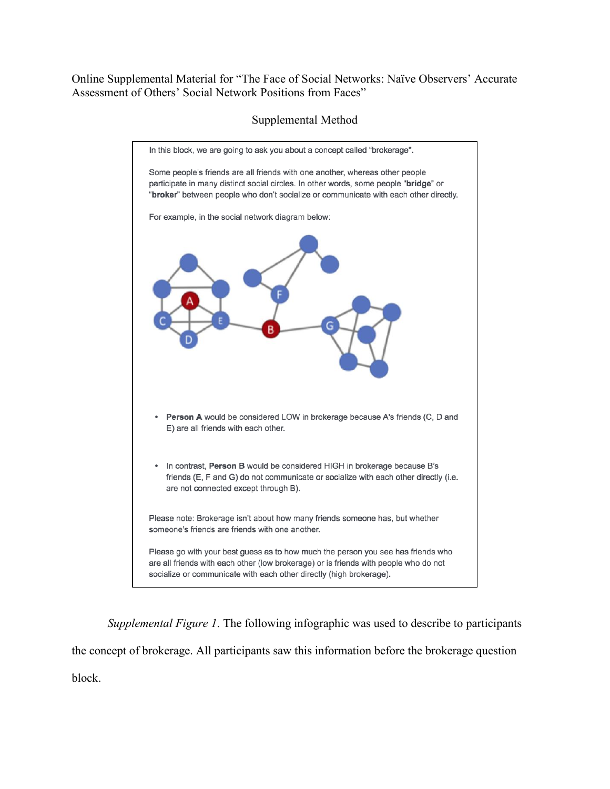Online Supplemental Material for "The Face of Social Networks: Naïve Observers' Accurate Assessment of Others' Social Network Positions from Faces"

# Supplemental Method



*Supplemental Figure 1*. The following infographic was used to describe to participants the concept of brokerage. All participants saw this information before the brokerage question block.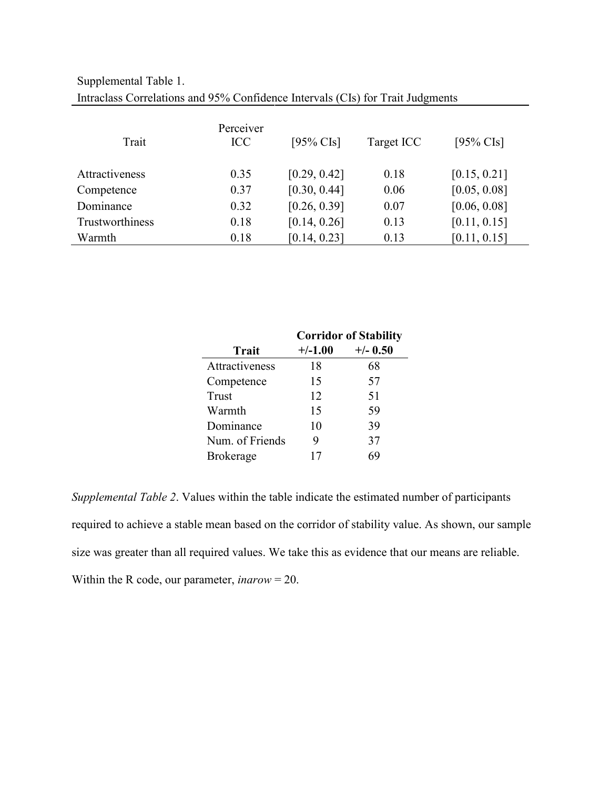| Intraclass Correlations and 95% Confidence Intervals (CIs) for Trait Judgments |                         |              |            |              |  |  |
|--------------------------------------------------------------------------------|-------------------------|--------------|------------|--------------|--|--|
| Trait                                                                          | Perceiver<br><b>ICC</b> | $[95\%$ CIs] | Target ICC | [95% CIs]    |  |  |
| Attractiveness                                                                 | 0.35                    | [0.29, 0.42] | 0.18       | [0.15, 0.21] |  |  |
| Competence                                                                     | 0.37                    | [0.30, 0.44] | 0.06       | [0.05, 0.08] |  |  |
| Dominance                                                                      | 0.32                    | [0.26, 0.39] | 0.07       | [0.06, 0.08] |  |  |
| Trustworthiness                                                                | 0.18                    | [0.14, 0.26] | 0.13       | [0.11, 0.15] |  |  |
| Warmth                                                                         | 0.18                    | [0.14, 0.23] | 0.13       | [0.11, 0.15] |  |  |

Supplemental Table 1.

|                  | <b>Corridor of Stability</b> |            |  |
|------------------|------------------------------|------------|--|
| <b>Trait</b>     | $+/-1.00$                    | $+/-$ 0.50 |  |
| Attractiveness   | 18                           | 68         |  |
| Competence       | 15                           | 57         |  |
| Trust            | 12                           | 51         |  |
| Warmth           | 15                           | 59         |  |
| Dominance        | 10                           | 39         |  |
| Num. of Friends  | 9                            | 37         |  |
| <b>Brokerage</b> | 17                           |            |  |

*Supplemental Table 2*. Values within the table indicate the estimated number of participants required to achieve a stable mean based on the corridor of stability value. As shown, our sample size was greater than all required values. We take this as evidence that our means are reliable. Within the R code, our parameter, *inarow* = 20.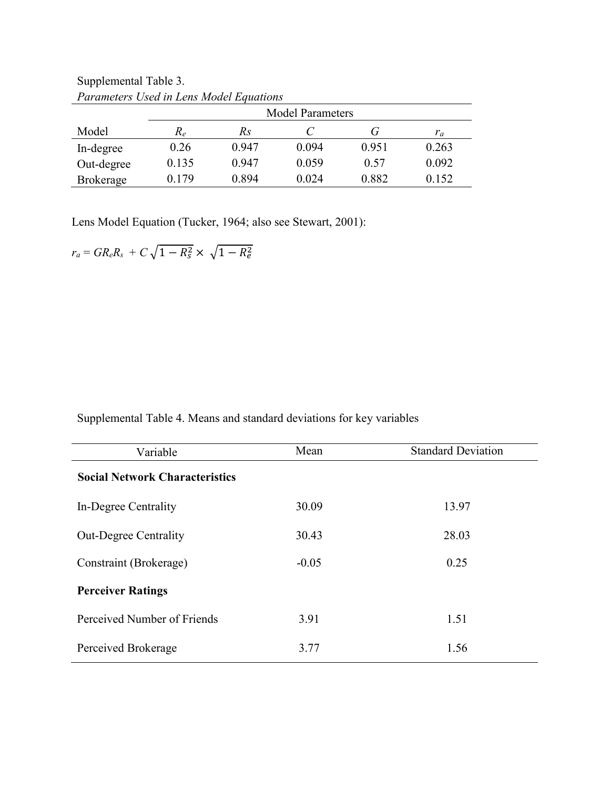|                  | I arameters Osca in Lens model Lyndhons<br><b>Model Parameters</b> |       |       |       |       |
|------------------|--------------------------------------------------------------------|-------|-------|-------|-------|
| Model            | $R_{e}$                                                            | Кs    |       | ( i   | $r_a$ |
| In-degree        | 0.26                                                               | 0.947 | 0.094 | 0.951 | 0.263 |
| Out-degree       | 0.135                                                              | 0.947 | 0.059 | 0.57  | 0.092 |
| <b>Brokerage</b> | 0.179                                                              | 0.894 | 0.024 | 0.882 | 0.152 |

Supplemental Table 3. *Parameters Used in Lens Model Equations*

Lens Model Equation (Tucker, 1964; also see Stewart, 2001):

 $r_a = G R_e R_s + C \sqrt{1 - R_s^2} \times \sqrt{1 - R_e^2}$ 

Supplemental Table 4. Means and standard deviations for key variables

| Variable                              | Mean    | <b>Standard Deviation</b> |  |  |  |
|---------------------------------------|---------|---------------------------|--|--|--|
| <b>Social Network Characteristics</b> |         |                           |  |  |  |
| In-Degree Centrality                  | 30.09   | 13.97                     |  |  |  |
| <b>Out-Degree Centrality</b>          | 30.43   | 28.03                     |  |  |  |
| Constraint (Brokerage)                | $-0.05$ | 0.25                      |  |  |  |
| <b>Perceiver Ratings</b>              |         |                           |  |  |  |
| Perceived Number of Friends           | 3.91    | 1.51                      |  |  |  |
| Perceived Brokerage                   | 3.77    | 1.56                      |  |  |  |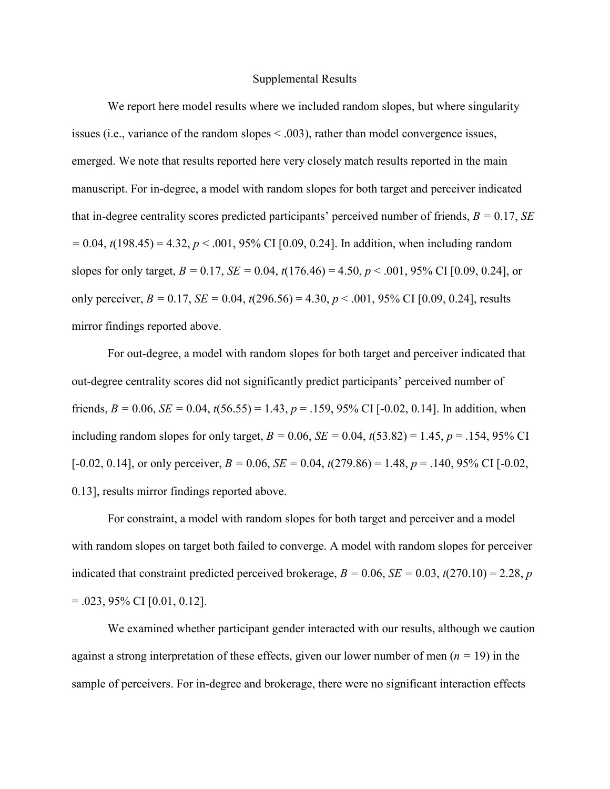### Supplemental Results

We report here model results where we included random slopes, but where singularity issues (i.e., variance of the random slopes < .003), rather than model convergence issues, emerged. We note that results reported here very closely match results reported in the main manuscript. For in-degree, a model with random slopes for both target and perceiver indicated that in-degree centrality scores predicted participants' perceived number of friends,  $B = 0.17$ , *SE =* 0.04, *t*(198.45) = 4.32, *p* < .001, 95% CI [0.09, 0.24]. In addition, when including random slopes for only target, *B =* 0.17, *SE =* 0.04, *t*(176.46) = 4.50, *p* < .001, 95% CI [0.09, 0.24], or only perceiver,  $B = 0.17$ ,  $SE = 0.04$ ,  $t(296.56) = 4.30$ ,  $p < .001$ , 95% CI [0.09, 0.24], results mirror findings reported above.

For out-degree, a model with random slopes for both target and perceiver indicated that out-degree centrality scores did not significantly predict participants' perceived number of friends,  $B = 0.06$ ,  $SE = 0.04$ ,  $t(56.55) = 1.43$ ,  $p = .159$ , 95% CI [-0.02, 0.14]. In addition, when including random slopes for only target,  $B = 0.06$ ,  $SE = 0.04$ ,  $t(53.82) = 1.45$ ,  $p = .154$ , 95% CI  $[-0.02, 0.14]$ , or only perceiver,  $B = 0.06$ ,  $SE = 0.04$ ,  $t(279.86) = 1.48$ ,  $p = .140$ , 95% CI  $[-0.02, 0.04]$ 0.13], results mirror findings reported above.

For constraint, a model with random slopes for both target and perceiver and a model with random slopes on target both failed to converge. A model with random slopes for perceiver indicated that constraint predicted perceived brokerage,  $B = 0.06$ ,  $SE = 0.03$ ,  $t(270.10) = 2.28$ , *p*  $= .023, 95\% \text{ CI}$  [0.01, 0.12].

We examined whether participant gender interacted with our results, although we caution against a strong interpretation of these effects, given our lower number of men (*n =* 19) in the sample of perceivers. For in-degree and brokerage, there were no significant interaction effects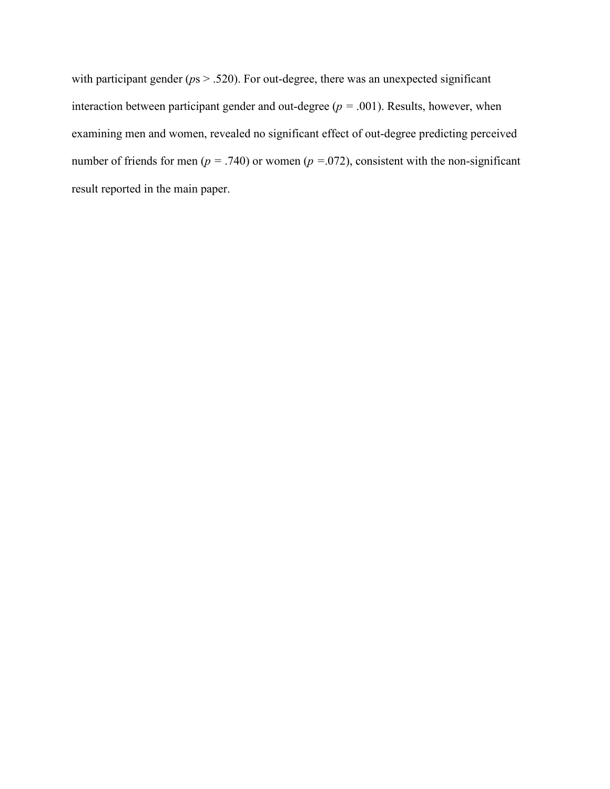with participant gender ( $ps > .520$ ). For out-degree, there was an unexpected significant interaction between participant gender and out-degree  $(p = .001)$ . Results, however, when examining men and women, revealed no significant effect of out-degree predicting perceived number of friends for men ( $p = .740$ ) or women ( $p = .072$ ), consistent with the non-significant result reported in the main paper.